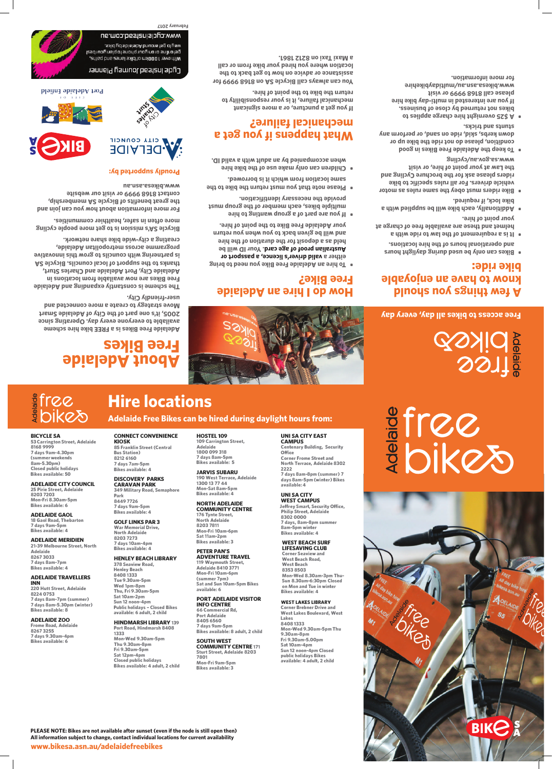# **Hire locations**

**Adelaide Free Bikes can be hired during daylight hours from:** 

# **A few things you should know to have an enjoyable bike ride:**

- **Bikes can only be used during daylight hours • and operational hours of the hire locations.**
- **It is a requirement of the law to ride with a •** helmet and these are available free of charge at **your point of hire.**
- **Additionally, each bike will be supplied with a • bike lock, if required.**
- **Bike riders must obey the same rules as motor • vehicle drivers. For all rules specific to bike riders please ask for the brochure Cycling and the Law at your point of hire, or visit www.sa.gov.au/cycling**
- **boog** ni ze alia een also keep the and  $\overline{a}$ **condition, please do not ride the bike up or down kerbs, skid, ride on sand, or perform any stunts and tricks.**
- **A \$25 overnight hire charge applies to •** bikes not returned by close of business. **If you are interested in multi-day bike hire please call 8168 9999 or visit www.bikesa.asn.au/multidaybikehire for more information.**

# Cycle Instead Journey Planner

us.mop.bsst2nislp.com.au svid ud sbislabA bnums 19g of yaw. as, oujine or on your phone to plan your best , arthover 1000km of bike lanes and paths,

# **How do I hire an Adelaide Free Bike?**

- **To hire an Adelaide Free Bike you need to bring • e, a passport or valid driver's licenc either a 9d Iliw CI noy .brase card.** Your ID will be **held as a deposit for the duration of the hire and will be given back to you when you return your Adelaide Free Bike to the point of hire.**
- **<sup>e</sup> If you are part of a group wanting to hir • multiple bikes, each member of the group must provide the necessary identification.**
- **Please note that you must return the bike to the • om which it is borrowed. same location fr**
- **Children can only make use of the bike hire • y an adult with a valid ID. when accompanied b**

**www.bikesa.asn.au/adelaidefreebikes PLEASE NOTE: Bikes are not available after sunset (even if the node is still open then) All information subject to change, contact individual locations for current availability**

# **What happens if you get a mechanical failure?**

**If you get a puncture, or a more signicant mechanical failure, it is your responsibility to return the bike to the point of hire.** 

**You can always call Bicycle SA on 8168 9999 for assistance or advice on how to get back to the location where you hired your bike from or call a Maxi Taxi on 8212 1861.**



# 

**About Adelaide** 

**Free Bikes**

**Adelaide Free Bikes is a FREE bike hire scheme available to everyone every day. Operating since 2005, it's one part of the City of Adelaide Smart Move strategy to create a more connected and** 

**user-friendly City.**

**The scheme is constantly expanding and Adelaide Free Bikes are now available from locations in Adelaide City, Port Adelaide and Charles Sturt, thanks to the support of local councils. Bicycle SA is partnering with councils to grow this innovative** 

**programme across metropolitan Adelaide, creating a city-wide bike share network.**

**Bicycle SA's mission is to get more people cycling more often in safer, healthier communities.** 

**For more information about how you can join and the great benefits of Bicycle SA membership, contact 8168 9999 or visit our website** 

**blaiting abislabA** tro9

**www.bikesa.asn.au**

**Proudly supported by:**

CITY COUNCIL **DELAIDE** 

**Satiendo** 



**Free access to bikes all day, every day**

**February 2017**

**BICYCLE SA** 

**53 Carrington Street, Adelaide** 

**8168 9999 7 days 9am-4.30pm (summer weekends 8am-S.30pm)** 

**Closed public holidays** 

**Bikes available: SO** 

**ADELAIDE CITY COUNCIL** 

**25 Pirie Street, Adelaide 8203 7203 Mon-Fri 8.30am-Spm Bikes available: 6** 

**ADELAIDE GAOL 18 Gaol Road, Thebarton** 

**7 days 9am-Spm Bikes available: 4** 

**ADELAIDE MERIDIEN 21-39 Melbourne Street, North Adelaide 8267 3033** 

**7 days 8am-7pm Bikes available: 4** 

### **ADELAIDE TRAVELLERS INN**

**220 Hutt Street, Adelaide 8224 0753 7 days 8am-7pm (summer) 7 days 8am-S.30pm (winter) Bikes available: 8** 

## **ADELAIDE ZOO**

**Frome Road, Adelaide 8267 3255 7 days 9.30am-4pm Bikes available: 6** 

**CONNECT CONVENIENCE** 

**KIOSK 85 Franklin Street (Central Bus Station) 8212 6160 7 days 7am-Spm** 

**Bikes available: 4 DISCOVERY PARKS CARAVAN PARK 349 Military Road, Semaphore Park** 

> **8449 7726 7 days 9am-Spm Bikes available: 4 GOLF LINKS PAR 3 War Memorial Drive, North Adelaide 8203 7273 7 days 10am-4pm Bikes available: 4**

**HENLEY BEACH LIBRARY** 

**378 Seaview Road, Henley Beach 8408 1333 Tue 9.30am-Spm Wed 1pm-8pm Thu, Fri 9.30am-Spm Sat 10am-2pm Sun 12 noon-4pm Public holidays - Closed Bikes available: 6 adult, 2 child** 

### **HINDMARSH LIBRARY 139**

**Port Road, Hindmarsh 8408 1333 Mon-Wed 9.30am-Spm Thu 9.30am-8pm Fri 9.30am-Spm Sat 12pm-4pm Closed public holidays Bikes available: 4 adult, 2 child**  **HOSTEL 109 109 Carrington Street,** 

**Adelaide 1800 099 318 7 days 8am-Spm Bikes available: S JARVIS SUBARU 190 West Terrace, Adelaide** 

**1300 13 77 44 Mon-Sat 8am-Spm Bikes available: 4 NORTH ADELAIDE COMMUNITY CENTRE 176 Tynte Street, North Adelaide 8203 7811 Mon-Fri 10am-6pm Sat 11am-2pm Bikes available: 3 PETER PAN'S ADVENTURE TRAVEL** 

**119 Waymouth Street, Adelaide 8410 3771 Mon-Fri 10am-6pm (summer 7pm) Sat and Sun 10am-Spm Bikes available: 6** 

### **PORT ADELAIDE VISITOR INFO CENTRE**

**66 Commercial Rd, Port Adelaide 8405 6560 7 days 9am-Spm Bikes available: 8 adult, 2 child** 

### **SOUTHWEST COMMUNITY CENTRE 171**

**Sturt Street, Adelaide 8203 7801 Mon-Fri 9am-Spm Bikes available: 3** 

**UNI SA CITY EAST** 

**CAMPUS** 

**Centenary Building, Security** 

**Office** 

**Corner Frome Street and North Terrace, Adelaide 8302** 

**2222** 

**7 days 8am-8pm (summer) 7 days 8am-Spm (winter) Bikes** 

**available: 4 UNI SA CITY WEST CAMPUS** 

**Jeffrey Smart, Security Office, Philip Street, Adelaide 8302 0000** 

**7 days, 8am-8pm summer 8am-Spm winter Bikes available: 4 WEST BEACH SURF LIFESAVING CLUB Corner Seaview and West Beach Road,** 

**West Beach 8353 8503 Mon-Wed 8.30am-3pm Thu-Sun 8.30am-6:30pm Closed on Mon and Tue in winter Bikes available: 4** 

### **WEST LAKES LIBRARY**

**Corner Brebner Drive and West Lakes Boulevard, West Lakes 8408 1333 Mon-Wed 9.30am-Spm Thu 9.30am-8pm Fri 9.30am-S.00pm Sat 10am-4pm Sun 12 noon-4pm Closed public holidays Bikes available: 4 adult, 2 child**